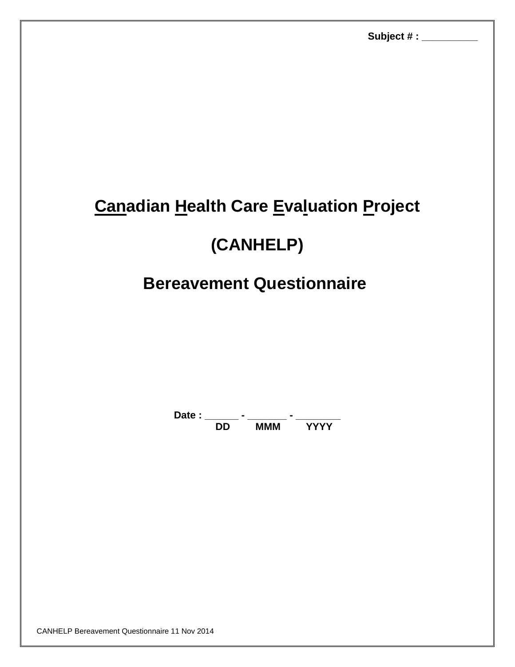# **Canadian Health Care Evaluation Project**

## **(CANHELP)**

## **Bereavement Questionnaire**

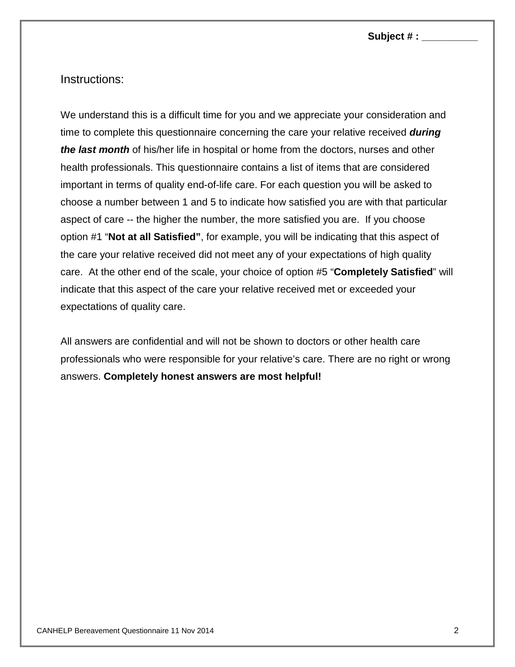**Subject # : \_\_\_\_\_\_\_\_\_\_**

### Instructions:

We understand this is a difficult time for you and we appreciate your consideration and time to complete this questionnaire concerning the care your relative received *during the last month* of his/her life in hospital or home from the doctors, nurses and other health professionals. This questionnaire contains a list of items that are considered important in terms of quality end-of-life care. For each question you will be asked to choose a number between 1 and 5 to indicate how satisfied you are with that particular aspect of care -- the higher the number, the more satisfied you are. If you choose option #1 "**Not at all Satisfied"**, for example, you will be indicating that this aspect of the care your relative received did not meet any of your expectations of high quality care. At the other end of the scale, your choice of option #5 "**Completely Satisfied**" will indicate that this aspect of the care your relative received met or exceeded your expectations of quality care.

All answers are confidential and will not be shown to doctors or other health care professionals who were responsible for your relative's care. There are no right or wrong answers. **Completely honest answers are most helpful!**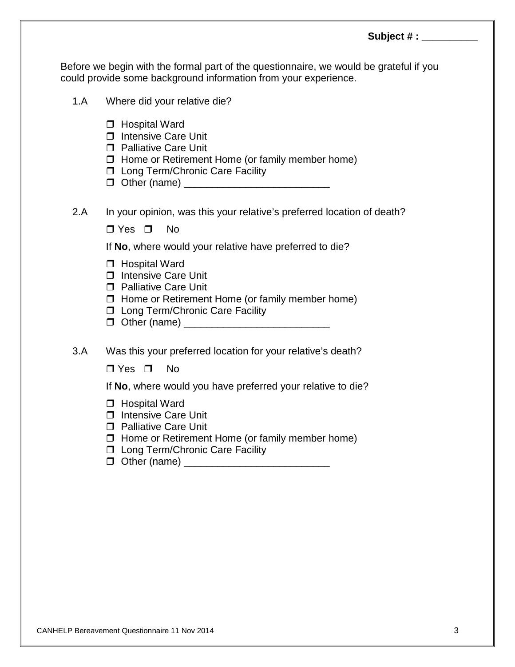Before we begin with the formal part of the questionnaire, we would be grateful if you could provide some background information from your experience.

- 1.A Where did your relative die?
- □ Hospital Ward □ Intensive Care Unit **D** Palliative Care Unit  $\Box$  Home or Retirement Home (or family member home) □ Long Term/Chronic Care Facility Other (name) \_\_\_\_\_\_\_\_\_\_\_\_\_\_\_\_\_\_\_\_\_\_\_\_\_\_ 2.A In your opinion, was this your relative's preferred location of death?  $\n **TV**$ es  $\n **IV**$ If **No**, where would your relative have preferred to die? □ Hospital Ward **Intensive Care Unit Palliative Care Unit**  $\Box$  Home or Retirement Home (or family member home) □ Long Term/Chronic Care Facility Other (name) \_\_\_\_\_\_\_\_\_\_\_\_\_\_\_\_\_\_\_\_\_\_\_\_\_\_ 3.A Was this your preferred location for your relative's death?  $\Box$  Yes  $\Box$  No If **No**, where would you have preferred your relative to die?
	- □ Hospital Ward
	- □ Intensive Care Unit
	- **D** Palliative Care Unit
	- $\Box$  Home or Retirement Home (or family member home)
	- □ Long Term/Chronic Care Facility
	- Other (name) \_\_\_\_\_\_\_\_\_\_\_\_\_\_\_\_\_\_\_\_\_\_\_\_\_\_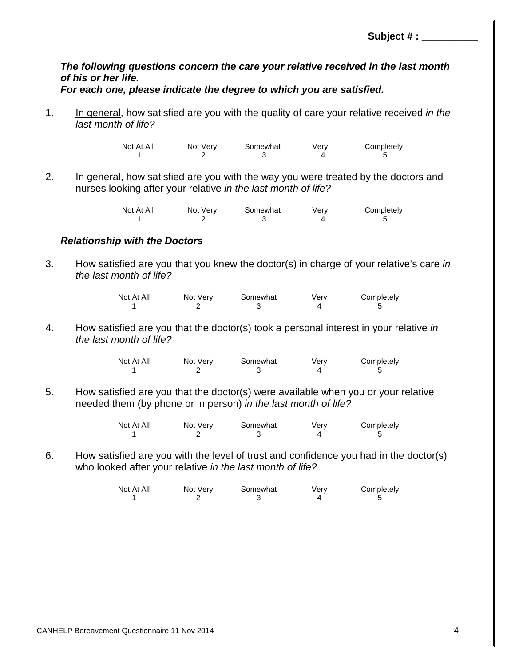Subject # :

## *The following questions concern the care your relative received in the last month of his or her life.*

#### *For each one, please indicate the degree to which you are satisfied.*

1. In general, how satisfied are you with the quality of care your relative received *in the last month of life?*

> Not At All Mot Very Somewhat Very Completely 1 2 3 4 5

2. In general, how satisfied are you with the way you were treated by the doctors and nurses looking after your relative *in the last month of life?*

| Not At All | Not Very | Somewhat | Verv | Completely |
|------------|----------|----------|------|------------|
|            |          |          |      |            |

#### *Relationship with the Doctors*

3. How satisfied are you that you knew the doctor(s) in charge of your relative's care *in the last month of life?*

| Not At All | Not Very | Somewhat | Very | Completely |
|------------|----------|----------|------|------------|
|            |          |          |      |            |

4. How satisfied are you that the doctor(s) took a personal interest in your relative *in the last month of life?*

| Not At All | Not Very | Somewhat | Verv | Completely |
|------------|----------|----------|------|------------|
|            |          |          |      |            |

5. How satisfied are you that the doctor(s) were available when you or your relative needed them (by phone or in person) *in the last month of life?*

| Not At All | Not Very | Somewhat | Verv | Completely |
|------------|----------|----------|------|------------|
|            |          |          |      |            |

6. How satisfied are you with the level of trust and confidence you had in the doctor(s) who looked after your relative *in the last month of life?*

| Not At All | Not Very | Somewhat | Verv | Completely |
|------------|----------|----------|------|------------|
|            |          |          |      |            |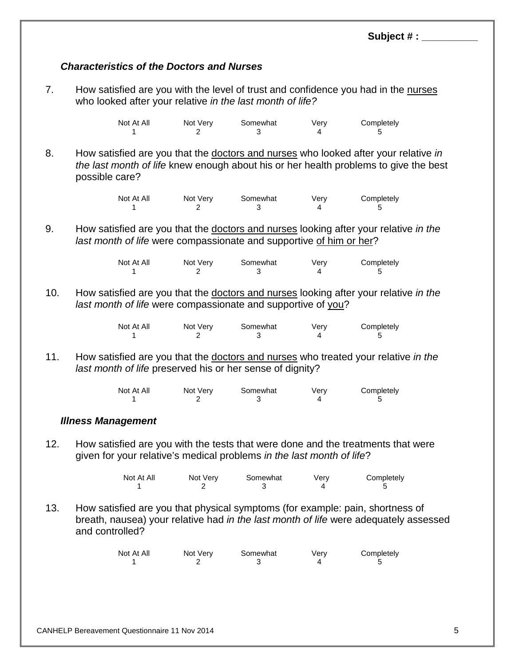#### *Characteristics of the Doctors and Nurses*

7. How satisfied are you with the level of trust and confidence you had in the nurses who looked after your relative *in the last month of life?*

| Not At All | Not Very | Somewhat | Verv | Completely |
|------------|----------|----------|------|------------|
|            |          |          |      |            |

8. How satisfied are you that the doctors and nurses who looked after your relative *in the last month of life* knew enough about his or her health problems to give the best possible care?

| Not At All | Not Very | Somewhat | Verv | Completely |
|------------|----------|----------|------|------------|
|            |          |          |      |            |

9. How satisfied are you that the doctors and nurses looking after your relative *in the last month of life* were compassionate and supportive of him or her?

| Not At All | Not Very | Somewhat | Verv | Completely |
|------------|----------|----------|------|------------|
|            |          |          |      |            |

10. How satisfied are you that the doctors and nurses looking after your relative *in the last month of life* were compassionate and supportive of you?

| Not At All | Not Very | Somewhat | Verv | Completely |
|------------|----------|----------|------|------------|
|            |          |          |      |            |

11. How satisfied are you that the doctors and nurses who treated your relative *in the last month of life* preserved his or her sense of dignity?

| Not At All | Not Very | Somewhat | Verv | Completely |
|------------|----------|----------|------|------------|
|            |          |          |      |            |

#### *Illness Management*

12. How satisfied are you with the tests that were done and the treatments that were given for your relative's medical problems *in the last month of life*?

| Not At All | Not Very | Somewhat | Verv | Completely |
|------------|----------|----------|------|------------|
|            |          |          |      |            |

13. How satisfied are you that physical symptoms (for example: pain, shortness of breath, nausea) your relative had *in the last month of life* were adequately assessed and controlled?

| Not At All | Not Very | Somewhat | Verv | Completely |
|------------|----------|----------|------|------------|
|            |          |          |      |            |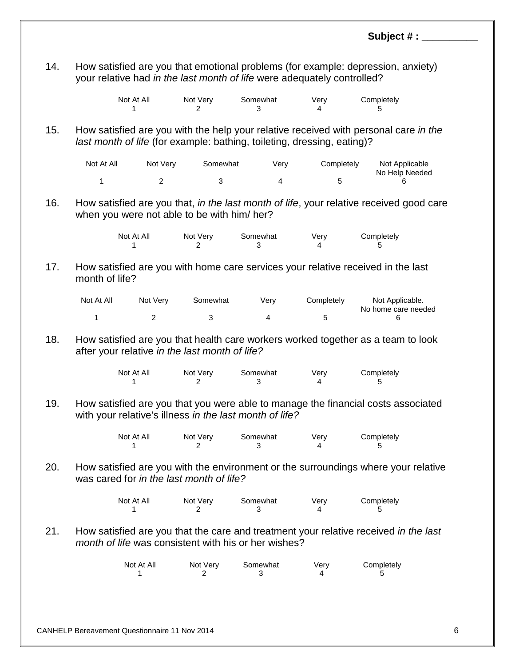|     |                |                 |                                                |                                                                         |            | Subject #:                                                                              |  |
|-----|----------------|-----------------|------------------------------------------------|-------------------------------------------------------------------------|------------|-----------------------------------------------------------------------------------------|--|
| 14. |                |                 |                                                |                                                                         |            | How satisfied are you that emotional problems (for example: depression, anxiety)        |  |
|     |                |                 |                                                | your relative had in the last month of life were adequately controlled? |            |                                                                                         |  |
|     |                | Not At All<br>1 | Not Very<br>2                                  | Somewhat<br>3                                                           | Very<br>4  | Completely<br>5                                                                         |  |
| 15. |                |                 |                                                | last month of life (for example: bathing, toileting, dressing, eating)? |            | How satisfied are you with the help your relative received with personal care in the    |  |
|     | Not At All     | Not Very        | Somewhat                                       | Very                                                                    | Completely | Not Applicable                                                                          |  |
|     | 1              | $\overline{c}$  | 3                                              | $\overline{4}$                                                          | 5          | No Help Needed<br>6                                                                     |  |
| 16. |                |                 | when you were not able to be with him/ her?    |                                                                         |            | How satisfied are you that, in the last month of life, your relative received good care |  |
|     |                | Not At All<br>1 | Not Very<br>2                                  | Somewhat<br>3                                                           | Very<br>4  | Completely<br>5                                                                         |  |
| 17. | month of life? |                 |                                                |                                                                         |            | How satisfied are you with home care services your relative received in the last        |  |
|     | Not At All     | Not Very        | Somewhat                                       | Very                                                                    | Completely | Not Applicable.                                                                         |  |
|     | 1              | $\overline{2}$  | $\mathbf 3$                                    | $\overline{4}$                                                          | 5          | No home care needed<br>6                                                                |  |
| 18. |                |                 | after your relative in the last month of life? |                                                                         |            | How satisfied are you that health care workers worked together as a team to look        |  |
|     |                | Not At All<br>1 | Not Very<br>2                                  | Somewhat<br>3                                                           | Very<br>4  | Completely<br>5                                                                         |  |
| 19  |                |                 |                                                | with your relative's illness in the last month of life?                 |            | How satisfied are you that you were able to manage the financial costs associated       |  |
|     |                | Not At All<br>1 | Not Very<br>2                                  | Somewhat<br>3                                                           | Very<br>4  | Completely<br>5                                                                         |  |
| 20. |                |                 | was cared for in the last month of life?       |                                                                         |            | How satisfied are you with the environment or the surroundings where your relative      |  |
|     |                | Not At All<br>1 | Not Very<br>2                                  | Somewhat<br>3                                                           | Very<br>4  | Completely<br>5                                                                         |  |
| 21. |                |                 |                                                | month of life was consistent with his or her wishes?                    |            | How satisfied are you that the care and treatment your relative received in the last    |  |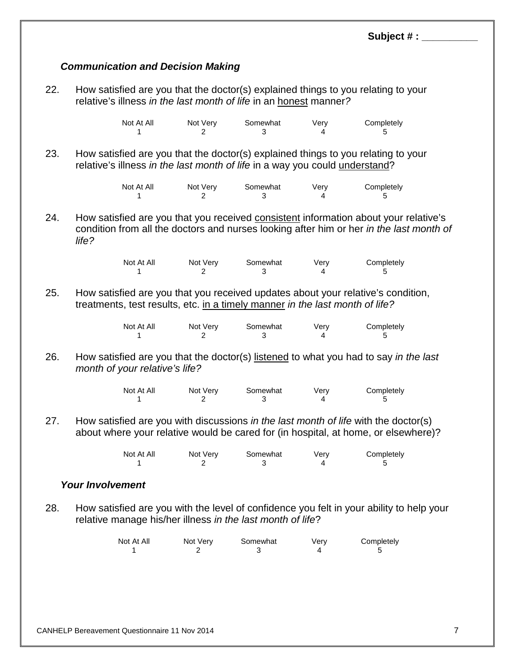## *Communication and Decision Making*

22. How satisfied are you that the doctor(s) explained things to you relating to your relative's illness *in the last month of life* in an honest manner*?*

| Not At All | Not Very | Somewhat | Verv | Completely |
|------------|----------|----------|------|------------|
|            |          |          |      |            |

23. How satisfied are you that the doctor(s) explained things to you relating to your relative's illness *in the last month of life* in a way you could understand?

| Not At All | Not Very | Somewhat | Verv | Completely |
|------------|----------|----------|------|------------|
|            |          |          |      |            |

24. How satisfied are you that you received consistent information about your relative's condition from all the doctors and nurses looking after him or her *in the last month of life?*

| Not At All | Not Very | Somewhat | Verv | Completely |
|------------|----------|----------|------|------------|
|            |          |          |      |            |

25. How satisfied are you that you received updates about your relative's condition, treatments, test results, etc. in a timely manner *in the last month of life?*

| Not At All | Not Very | Somewhat | Verv | Completely |
|------------|----------|----------|------|------------|
|            |          |          |      |            |

26. How satisfied are you that the doctor(s) listened to what you had to say *in the last month of your relative's life?*

| Not At All | Not Very | Somewhat | Verv | Completely |
|------------|----------|----------|------|------------|
|            |          |          |      |            |

27. How satisfied are you with discussions *in the last month of life* with the doctor(s) about where your relative would be cared for (in hospital, at home, or elsewhere)?

| Not At All | Not Very | Somewhat | Verv | Completely |
|------------|----------|----------|------|------------|
|            |          |          |      |            |

### *Your Involvement*

28. How satisfied are you with the level of confidence you felt in your ability to help your relative manage his/her illness *in the last month of life*?

| Not At All | Not Very | Somewhat | Verv | Completely |
|------------|----------|----------|------|------------|
|            |          |          |      |            |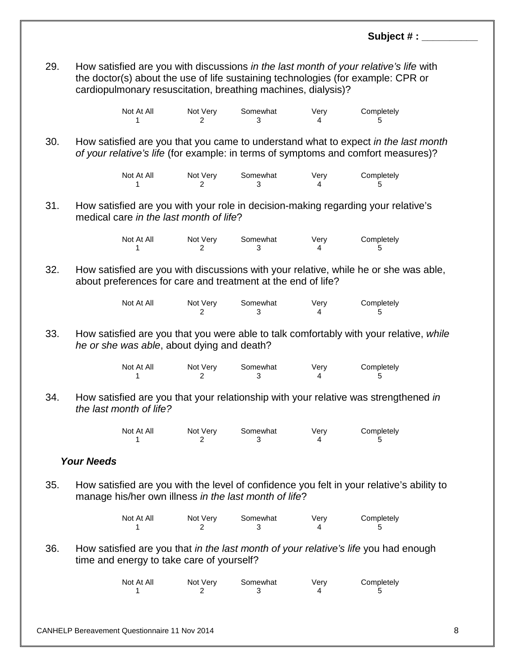29. How satisfied are you with discussions *in the last month of your relative's life* with the doctor(s) about the use of life sustaining technologies (for example: CPR or cardiopulmonary resuscitation, breathing machines, dialysis)?

| Not At All | Not Very | Somewhat | Very | Completely |
|------------|----------|----------|------|------------|
|            |          |          |      |            |

30. How satisfied are you that you came to understand what to expect *in the last month of your relative's life* (for example: in terms of symptoms and comfort measures)?

| Not At All | Not Very | Somewhat | Verv | Completely |
|------------|----------|----------|------|------------|
|            |          |          |      |            |

31. How satisfied are you with your role in decision-making regarding your relative's medical care *in the last month of life*?

| Not At All | Not Very | Somewhat | Verv | Completely |
|------------|----------|----------|------|------------|
|            |          |          |      |            |

32. How satisfied are you with discussions with your relative, while he or she was able, about preferences for care and treatment at the end of life?

| Not At All | Not Very | Somewhat | Verv | Completely |
|------------|----------|----------|------|------------|
|            |          |          |      |            |

33. How satisfied are you that you were able to talk comfortably with your relative, *while he or she was able*, about dying and death?

| Not At All | Not Very | Somewhat | Verv | Completely |
|------------|----------|----------|------|------------|
|            |          |          |      |            |

34. How satisfied are you that your relationship with your relative was strengthened *in the last month of life?*

| Not At All | Not Very | Somewhat | Verv | Completely |
|------------|----------|----------|------|------------|
|            |          |          |      |            |

#### *Your Needs*

35. How satisfied are you with the level of confidence you felt in your relative's ability to manage his/her own illness *in the last month of life*?

| Not At All | Not Very | Somewhat | Verv | Completely |
|------------|----------|----------|------|------------|
|            |          |          |      |            |

36. How satisfied are you that *in the last month of your relative's life* you had enough time and energy to take care of yourself?

| Not At All | Not Very | Somewhat | Verv | Completely |
|------------|----------|----------|------|------------|
|            |          |          |      |            |